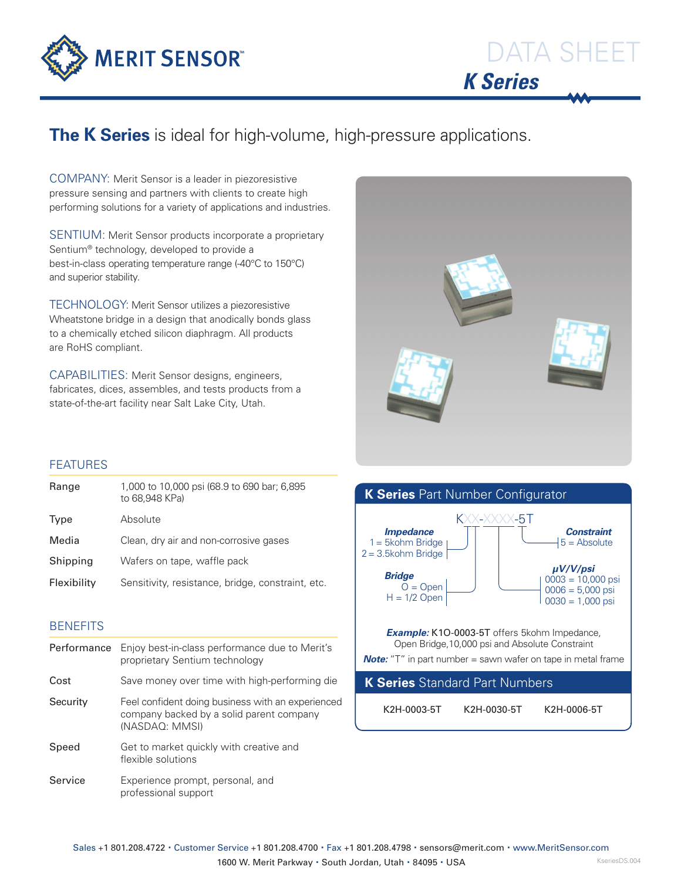

# DATA SHEET *K Series*

### **The K Series** is ideal for high-volume, high-pressure applications.

COMPANY: Merit Sensor is a leader in piezoresistive pressure sensing and partners with clients to create high performing solutions for a variety of applications and industries.

SENTIUM: Merit Sensor products incorporate a proprietary Sentium® technology, developed to provide a best-in-class operating temperature range (-40°C to 150°C) and superior stability.

TECHNOLOGY: Merit Sensor utilizes a piezoresistive Wheatstone bridge in a design that anodically bonds glass to a chemically etched silicon diaphragm. All products are RoHS compliant.

CAPABILITIES: Merit Sensor designs, engineers, fabricates, dices, assembles, and tests products from a state-of-the-art facility near Salt Lake City, Utah.



### FEATURES

| 1,000 to 10,000 psi (68.9 to 690 bar; 6,895<br>to 68.948 KPa) |
|---------------------------------------------------------------|
| Absolute                                                      |
| Clean, dry air and non-corrosive gases                        |
| Wafers on tape, waffle pack                                   |
| Sensitivity, resistance, bridge, constraint, etc.             |
|                                                               |

### **BENEFITS**

| Performance | Enjoy best-in-class performance due to Merit's<br>proprietary Sentium technology                                |  |  |  |
|-------------|-----------------------------------------------------------------------------------------------------------------|--|--|--|
| Cost        | Save money over time with high-performing die                                                                   |  |  |  |
| Security    | Feel confident doing business with an experienced<br>company backed by a solid parent company<br>(NASDAQ: MMSI) |  |  |  |
| Speed       | Get to market quickly with creative and<br>flexible solutions                                                   |  |  |  |
| Service     | Experience prompt, personal, and<br>professional support                                                        |  |  |  |